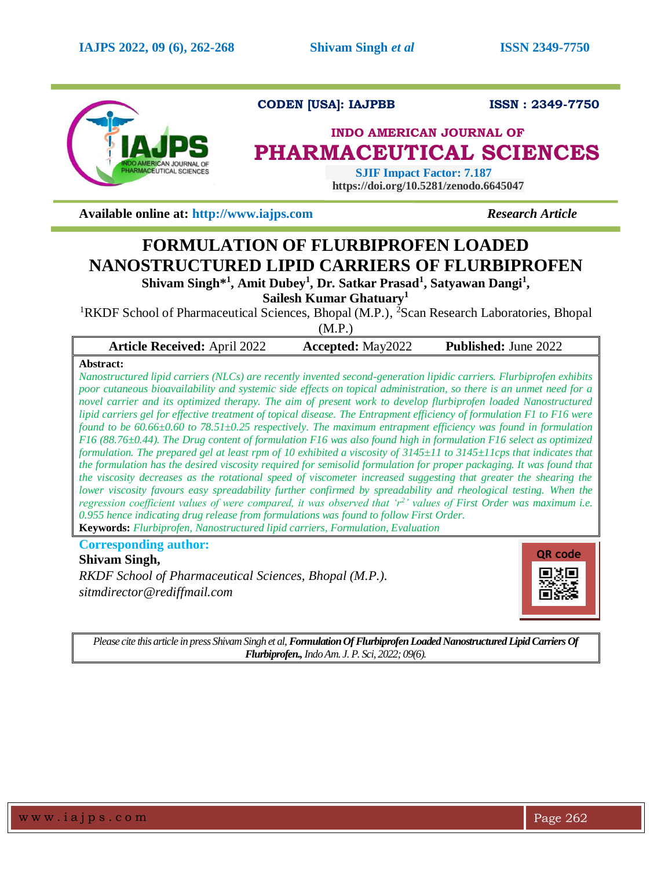

**CODEN [USA]: IAJPBB ISSN : 2349-7750** 

# **INDO AMERICAN JOURNAL OF PHARMACEUTICAL SCIENCES**

 **SJIF Impact Factor: 7.187 https://doi.org/10.5281/zenodo.6645047**

**Available online at: [http://www.iajps.com](http://www.iajps.com/)** *Research Article*

# **FORMULATION OF FLURBIPROFEN LOADED NANOSTRUCTURED LIPID CARRIERS OF FLURBIPROFEN**

**Shivam Singh\* 1 , Amit Dubey<sup>1</sup> , Dr. Satkar Prasad<sup>1</sup> , Satyawan Dangi<sup>1</sup> ,**

**Sailesh Kumar Ghatuary<sup>1</sup>**

<sup>1</sup>RKDF School of Pharmaceutical Sciences, Bhopal (M.P.), <sup>2</sup>Scan Research Laboratories, Bhopal (M.P.)

| <b>Article Received: April 2022</b> | <b>Accepted:</b> May2022 | <b>Published:</b> June 2022 |
|-------------------------------------|--------------------------|-----------------------------|
|                                     |                          |                             |

# **Abstract:**

*Nanostructured lipid carriers (NLCs) are recently invented second-generation lipidic carriers. Flurbiprofen exhibits poor cutaneous bioavailability and systemic side effects on topical administration, so there is an unmet need for a novel carrier and its optimized therapy. The aim of present work to develop flurbiprofen loaded Nanostructured lipid carriers gel for effective treatment of topical disease. The Entrapment efficiency of formulation F1 to F16 were found to be 60.66±0.60 to 78.51±0.25 respectively. The maximum entrapment efficiency was found in formulation F16 (88.76±0.44). The Drug content of formulation F16 was also found high in formulation F16 select as optimized formulation. The prepared gel at least rpm of 10 exhibited a viscosity of 3145±11 to 3145±11cps that indicates that the formulation has the desired viscosity required for semisolid formulation for proper packaging. It was found that the viscosity decreases as the rotational speed of viscometer increased suggesting that greater the shearing the lower viscosity favours easy spreadability further confirmed by spreadability and rheological testing. When the regression coefficient values of were compared, it was observed that 'r<sup>2</sup> ' values of First Order was maximum i.e. 0.955 hence indicating drug release from formulations was found to follow First Order.* **Keywords:** *Flurbiprofen, Nanostructured lipid carriers, Formulation, Evaluation*

**Corresponding author:** 

# **Shivam Singh,**

*RKDF School of Pharmaceutical Sciences, Bhopal (M.P.). sitmdirector@rediffmail.com*



*Please cite this article in press Shivam Singh et al, Formulation Of Flurbiprofen Loaded Nanostructured Lipid Carriers Of Flurbiprofen.,Indo Am. J. P. Sci, 2022; 09(6).*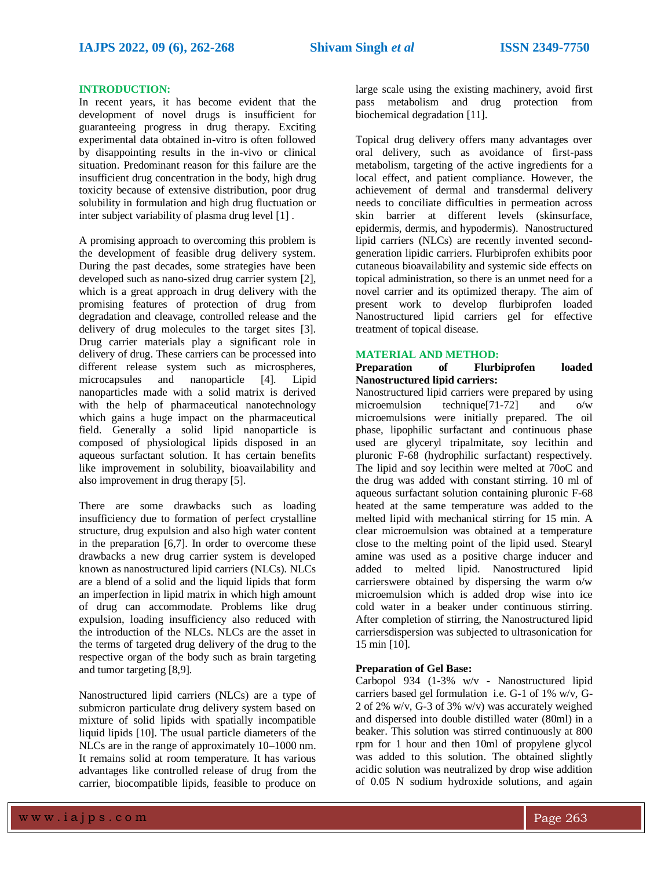#### **INTRODUCTION:**

In recent years, it has become evident that the development of novel drugs is insufficient for guaranteeing progress in drug therapy. Exciting experimental data obtained in-vitro is often followed by disappointing results in the in-vivo or clinical situation. Predominant reason for this failure are the insufficient drug concentration in the body, high drug toxicity because of extensive distribution, poor drug solubility in formulation and high drug fluctuation or inter subject variability of plasma drug level [1] .

A promising approach to overcoming this problem is the development of feasible drug delivery system. During the past decades, some strategies have been developed such as nano-sized drug carrier system [2], which is a great approach in drug delivery with the promising features of protection of drug from degradation and cleavage, controlled release and the delivery of drug molecules to the target sites [3]. Drug carrier materials play a significant role in delivery of drug. These carriers can be processed into different release system such as microspheres, microcapsules and nanoparticle [4]. Lipid nanoparticles made with a solid matrix is derived with the help of pharmaceutical nanotechnology which gains a huge impact on the pharmaceutical field. Generally a solid lipid nanoparticle is composed of physiological lipids disposed in an aqueous surfactant solution. It has certain benefits like improvement in solubility, bioavailability and also improvement in drug therapy [5].

There are some drawbacks such as loading insufficiency due to formation of perfect crystalline structure, drug expulsion and also high water content in the preparation [6,7]. In order to overcome these drawbacks a new drug carrier system is developed known as nanostructured lipid carriers (NLCs). NLCs are a blend of a solid and the liquid lipids that form an imperfection in lipid matrix in which high amount of drug can accommodate. Problems like drug expulsion, loading insufficiency also reduced with the introduction of the NLCs. NLCs are the asset in the terms of targeted drug delivery of the drug to the respective organ of the body such as brain targeting and tumor targeting [8,9].

Nanostructured lipid carriers (NLCs) are a type of submicron particulate drug delivery system based on mixture of solid lipids with spatially incompatible liquid lipids [10]. The usual particle diameters of the NLCs are in the range of approximately 10–1000 nm. It remains solid at room temperature. It has various advantages like controlled release of drug from the carrier, biocompatible lipids, feasible to produce on

large scale using the existing machinery, avoid first pass metabolism and drug protection from biochemical degradation [11].

Topical drug delivery offers many advantages over oral delivery, such as avoidance of first-pass metabolism, targeting of the active ingredients for a local effect, and patient compliance. However, the achievement of dermal and transdermal delivery needs to conciliate difficulties in permeation across skin barrier at different levels (skinsurface, epidermis, dermis, and hypodermis). Nanostructured lipid carriers (NLCs) are recently invented secondgeneration lipidic carriers. Flurbiprofen exhibits poor cutaneous bioavailability and systemic side effects on topical administration, so there is an unmet need for a novel carrier and its optimized therapy. The aim of present work to develop flurbiprofen loaded Nanostructured lipid carriers gel for effective treatment of topical disease.

#### **MATERIAL AND METHOD:**

#### **Preparation of Flurbiprofen loaded Nanostructured lipid carriers:**

Nanostructured lipid carriers were prepared by using microemulsion technique[71-72] and o/w microemulsions were initially prepared. The oil phase, lipophilic surfactant and continuous phase used are glyceryl tripalmitate, soy lecithin and pluronic F-68 (hydrophilic surfactant) respectively. The lipid and soy lecithin were melted at 70oC and the drug was added with constant stirring. 10 ml of aqueous surfactant solution containing pluronic F-68 heated at the same temperature was added to the melted lipid with mechanical stirring for 15 min. A clear microemulsion was obtained at a temperature close to the melting point of the lipid used. Stearyl amine was used as a positive charge inducer and added to melted lipid. Nanostructured lipid carrierswere obtained by dispersing the warm  $o/w$ microemulsion which is added drop wise into ice cold water in a beaker under continuous stirring. After completion of stirring, the Nanostructured lipid carriersdispersion was subjected to ultrasonication for 15 min [10].

#### **Preparation of Gel Base:**

Carbopol 934 (1-3% w/v - Nanostructured lipid carriers based gel formulation i.e. G-1 of 1% w/v, G-2 of 2% w/v, G-3 of 3% w/v) was accurately weighed and dispersed into double distilled water (80ml) in a beaker. This solution was stirred continuously at 800 rpm for 1 hour and then 10ml of propylene glycol was added to this solution. The obtained slightly acidic solution was neutralized by drop wise addition of 0.05 N sodium hydroxide solutions, and again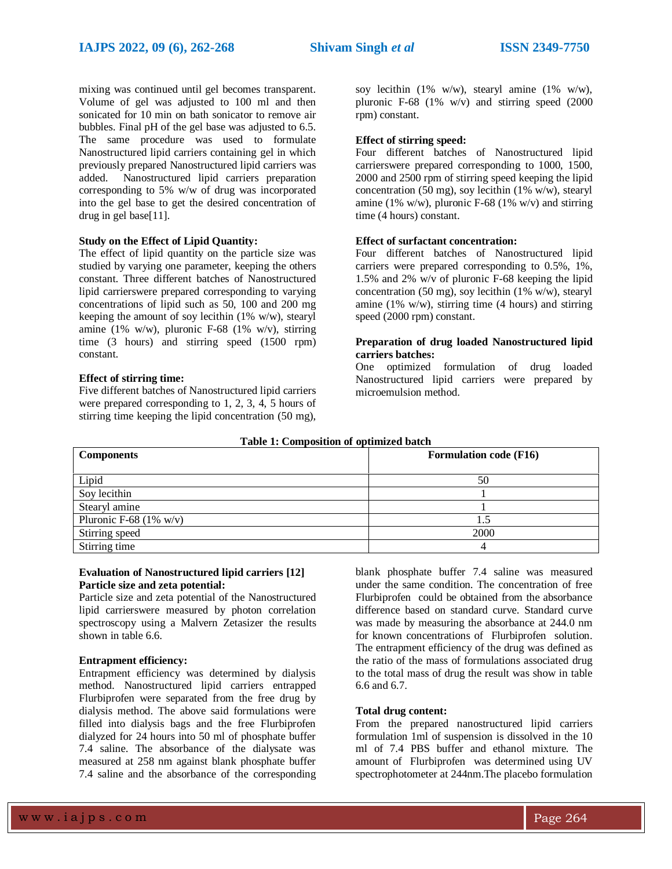mixing was continued until gel becomes transparent. Volume of gel was adjusted to 100 ml and then sonicated for 10 min on bath sonicator to remove air bubbles. Final pH of the gel base was adjusted to 6.5. The same procedure was used to formulate Nanostructured lipid carriers containing gel in which previously prepared Nanostructured lipid carriers was added. Nanostructured lipid carriers preparation corresponding to 5% w/w of drug was incorporated into the gel base to get the desired concentration of drug in gel base[11].

#### **Study on the Effect of Lipid Quantity:**

The effect of lipid quantity on the particle size was studied by varying one parameter, keeping the others constant. Three different batches of Nanostructured lipid carrierswere prepared corresponding to varying concentrations of lipid such as 50, 100 and 200 mg keeping the amount of soy lecithin (1% w/w), stearyl amine (1% w/w), pluronic F-68 (1% w/v), stirring time (3 hours) and stirring speed (1500 rpm) constant.

#### **Effect of stirring time:**

Five different batches of Nanostructured lipid carriers were prepared corresponding to 1, 2, 3, 4, 5 hours of stirring time keeping the lipid concentration (50 mg),

soy lecithin  $(1\% \t w/w)$ , stearyl amine  $(1\% \t w/w)$ , pluronic F-68  $(1\% \text{ w/v})$  and stirring speed  $(2000)$ rpm) constant.

#### **Effect of stirring speed:**

Four different batches of Nanostructured lipid carrierswere prepared corresponding to 1000, 1500, 2000 and 2500 rpm of stirring speed keeping the lipid concentration (50 mg), soy lecithin (1% w/w), stearyl amine (1% w/w), pluronic F-68 (1% w/v) and stirring time (4 hours) constant.

### **Effect of surfactant concentration:**

Four different batches of Nanostructured lipid carriers were prepared corresponding to 0.5%, 1%, 1.5% and 2% w/v of pluronic F-68 keeping the lipid concentration (50 mg), soy lecithin (1% w/w), stearyl amine (1% w/w), stirring time (4 hours) and stirring speed (2000 rpm) constant.

#### **Preparation of drug loaded Nanostructured lipid carriers batches:**

One optimized formulation of drug loaded Nanostructured lipid carriers were prepared by microemulsion method.

| Table 1: Composition of optimized batch |                               |  |  |
|-----------------------------------------|-------------------------------|--|--|
| <b>Components</b>                       | <b>Formulation code (F16)</b> |  |  |
|                                         |                               |  |  |
| Lipid                                   | 50                            |  |  |
| Soy lecithin                            |                               |  |  |
| Stearyl amine                           |                               |  |  |
| Pluronic F-68 $(1\%$ w/v)               |                               |  |  |
| Stirring speed                          | 2000                          |  |  |
| Stirring time                           |                               |  |  |

#### **Table 1: Composition of optimized batch**

#### **Evaluation of Nanostructured lipid carriers [12] Particle size and zeta potential:**

Particle size and zeta potential of the Nanostructured lipid carrierswere measured by photon correlation spectroscopy using a Malvern Zetasizer the results shown in table 6.6.

#### **Entrapment efficiency:**

Entrapment efficiency was determined by dialysis method. Nanostructured lipid carriers entrapped Flurbiprofen were separated from the free drug by dialysis method. The above said formulations were filled into dialysis bags and the free Flurbiprofen dialyzed for 24 hours into 50 ml of phosphate buffer 7.4 saline. The absorbance of the dialysate was measured at 258 nm against blank phosphate buffer 7.4 saline and the absorbance of the corresponding blank phosphate buffer 7.4 saline was measured under the same condition. The concentration of free Flurbiprofen could be obtained from the absorbance difference based on standard curve. Standard curve was made by measuring the absorbance at 244.0 nm for known concentrations of Flurbiprofen solution. The entrapment efficiency of the drug was defined as the ratio of the mass of formulations associated drug to the total mass of drug the result was show in table 6.6 and 6.7.

#### **Total drug content:**

From the prepared nanostructured lipid carriers formulation 1ml of suspension is dissolved in the 10 ml of 7.4 PBS buffer and ethanol mixture. The amount of Flurbiprofen was determined using UV spectrophotometer at 244nm.The placebo formulation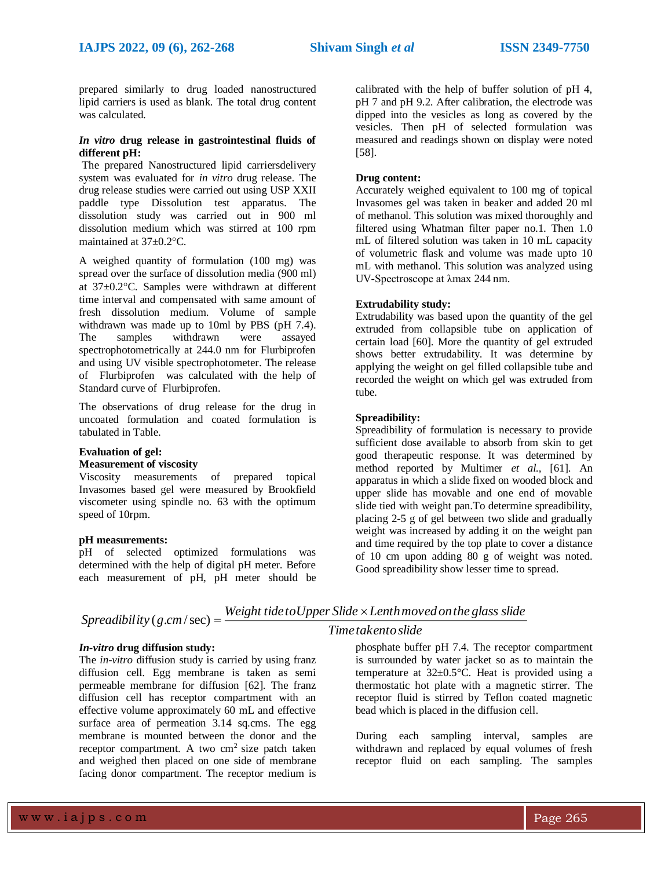prepared similarly to drug loaded nanostructured lipid carriers is used as blank. The total drug content was calculated.

#### *In vitro* **drug release in gastrointestinal fluids of different pH:**

The prepared Nanostructured lipid carriersdelivery system was evaluated for *in vitro* drug release. The drug release studies were carried out using USP XXII paddle type Dissolution test apparatus. The dissolution study was carried out in 900 ml dissolution medium which was stirred at 100 rpm maintained at  $37\pm0.2$ °C.

A weighed quantity of formulation (100 mg) was spread over the surface of dissolution media (900 ml) at  $37\pm0.2$ °C. Samples were withdrawn at different time interval and compensated with same amount of fresh dissolution medium. Volume of sample withdrawn was made up to 10ml by PBS (pH 7.4). The samples withdrawn were assayed spectrophotometrically at 244.0 nm for Flurbiprofen and using UV visible spectrophotometer. The release of Flurbiprofen was calculated with the help of Standard curve of Flurbiprofen.

The observations of drug release for the drug in uncoated formulation and coated formulation is tabulated in Table.

# **Evaluation of gel:**

#### **Measurement of viscosity**

Viscosity measurements of prepared topical Invasomes based gel were measured by Brookfield viscometer using spindle no. 63 with the optimum speed of 10rpm.

#### **pH measurements:**

pH of selected optimized formulations was determined with the help of digital pH meter. Before each measurement of pH, pH meter should be

calibrated with the help of buffer solution of pH 4, pH 7 and pH 9.2. After calibration, the electrode was dipped into the vesicles as long as covered by the vesicles. Then pH of selected formulation was measured and readings shown on display were noted [58].

### **Drug content:**

Accurately weighed equivalent to 100 mg of topical Invasomes gel was taken in beaker and added 20 ml of methanol. This solution was mixed thoroughly and filtered using Whatman filter paper no.1. Then 1.0 mL of filtered solution was taken in 10 mL capacity of volumetric flask and volume was made upto 10 mL with methanol. This solution was analyzed using UV-Spectroscope at λmax 244 nm.

### **Extrudability study:**

Extrudability was based upon the quantity of the gel extruded from collapsible tube on application of certain load [60]. More the quantity of gel extruded shows better extrudability. It was determine by applying the weight on gel filled collapsible tube and recorded the weight on which gel was extruded from tube.

# **Spreadibility:**

Spreadibility of formulation is necessary to provide sufficient dose available to absorb from skin to get good therapeutic response. It was determined by method reported by Multimer *et al.,* [61]. An apparatus in which a slide fixed on wooded block and upper slide has movable and one end of movable slide tied with weight pan.To determine spreadibility, placing 2-5 g of gel between two slide and gradually weight was increased by adding it on the weight pan and time required by the top plate to cover a distance of 10 cm upon adding 80 g of weight was noted. Good spreadibility show lesser time to spread.

| Spreadibility $(g.cm/sec) =$ | Weight tide to Upper Slide $\times$ Lenth moved on the glass slide |
|------------------------------|--------------------------------------------------------------------|
|                              | Time takento slide                                                 |

#### *In-vitro* **drug diffusion study:**

The *in-vitro* diffusion study is carried by using franz diffusion cell. Egg membrane is taken as semi permeable membrane for diffusion [62]. The franz diffusion cell has receptor compartment with an effective volume approximately 60 mL and effective surface area of permeation 3.14 sq.cms. The egg membrane is mounted between the donor and the receptor compartment. A two  $cm<sup>2</sup>$  size patch taken and weighed then placed on one side of membrane facing donor compartment. The receptor medium is

phosphate buffer pH 7.4. The receptor compartment is surrounded by water jacket so as to maintain the

temperature at  $32\pm0.5^{\circ}$ C. Heat is provided using a thermostatic hot plate with a magnetic stirrer. The receptor fluid is stirred by Teflon coated magnetic bead which is placed in the diffusion cell.

During each sampling interval, samples are withdrawn and replaced by equal volumes of fresh receptor fluid on each sampling. The samples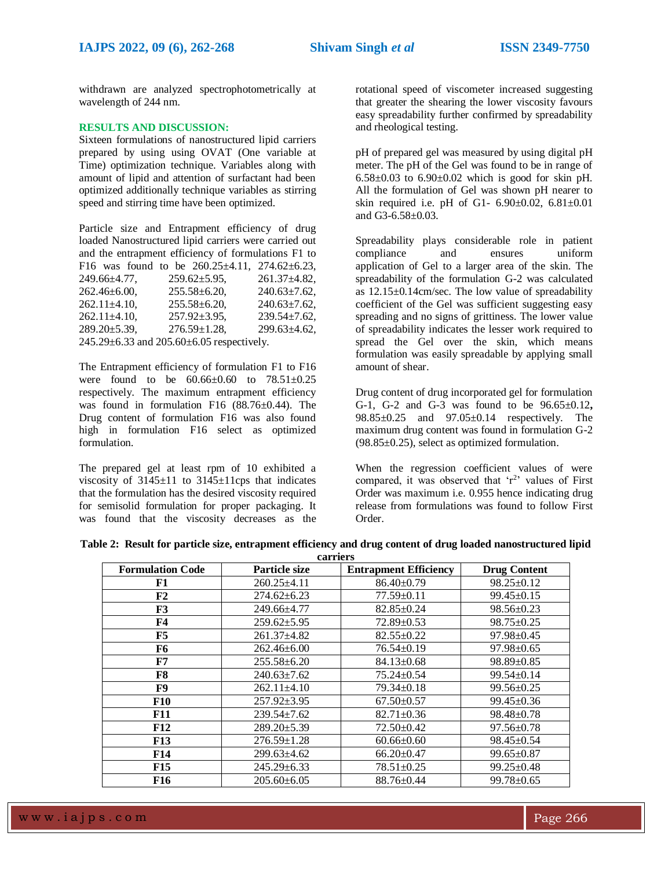withdrawn are analyzed spectrophotometrically at wavelength of 244 nm.

# **RESULTS AND DISCUSSION:**

Sixteen formulations of nanostructured lipid carriers prepared by using using OVAT (One variable at Time) optimization technique. Variables along with amount of lipid and attention of surfactant had been optimized additionally technique variables as stirring speed and stirring time have been optimized.

Particle size and Entrapment efficiency of drug loaded Nanostructured lipid carriers were carried out and the entrapment efficiency of formulations F1 to F16 was found to be  $260.25 \pm 4.11$ ,  $274.62 \pm 6.23$ , 249.66±4.77, 259.62±5.95, 261.37±4.82, 262.46±6.00, 255.58±6.20, 240.63±7.62,  $262.11\pm4.10$ ,  $255.58\pm6.20$ ,  $240.63\pm7.62$ 262.11±4.10, 257.92±3.95, 239.54±7.62, 289.20±5.39, 276.59±1.28, 299.63±4.62, 245.29±6.33 and 205.60±6.05 respectively.

The Entrapment efficiency of formulation F1 to F16 were found to be 60.66±0.60 to 78.51±0.25 respectively. The maximum entrapment efficiency was found in formulation F16 (88.76±0.44). The Drug content of formulation F16 was also found high in formulation F16 select as optimized formulation.

The prepared gel at least rpm of 10 exhibited a viscosity of  $3145\pm11$  to  $3145\pm11$ cps that indicates that the formulation has the desired viscosity required for semisolid formulation for proper packaging. It was found that the viscosity decreases as the rotational speed of viscometer increased suggesting that greater the shearing the lower viscosity favours easy spreadability further confirmed by spreadability and rheological testing.

pH of prepared gel was measured by using digital pH meter. The pH of the Gel was found to be in range of  $6.58 \pm 0.03$  to  $6.90 \pm 0.02$  which is good for skin pH. All the formulation of Gel was shown pH nearer to skin required i.e. pH of G1-  $6.90 \pm 0.02$ ,  $6.81 \pm 0.01$ and G3-6.58±0.03.

Spreadability plays considerable role in patient compliance and ensures uniform application of Gel to a larger area of the skin. The spreadability of the formulation G-2 was calculated as  $12.15\pm0.14$ cm/sec. The low value of spreadability coefficient of the Gel was sufficient suggesting easy spreading and no signs of grittiness. The lower value of spreadability indicates the lesser work required to spread the Gel over the skin, which means formulation was easily spreadable by applying small amount of shear.

Drug content of drug incorporated gel for formulation G-1, G-2 and G-3 was found to be 96.65±0.12**,**  98.85±0.25 and 97.05±0.14 respectively. The maximum drug content was found in formulation G-2  $(98.85\pm0.25)$ , select as optimized formulation.

When the regression coefficient values of were compared, it was observed that  $r^2$  values of First Order was maximum i.e. 0.955 hence indicating drug release from formulations was found to follow First Order.

|  | Table 2: Result for particle size, entrapment efficiency and drug content of drug loaded nanostructured lipid |  |  |
|--|---------------------------------------------------------------------------------------------------------------|--|--|
|  | carriers                                                                                                      |  |  |

| сан ісі э               |                   |                              |                     |  |
|-------------------------|-------------------|------------------------------|---------------------|--|
| <b>Formulation Code</b> | Particle size     | <b>Entrapment Efficiency</b> | <b>Drug Content</b> |  |
| F1                      | $260.25 \pm 4.11$ | $86.40 \pm 0.79$             | $98.25 \pm 0.12$    |  |
| F2                      | $274.62 \pm 6.23$ | $77.59 \pm 0.11$             | $99.45 \pm 0.15$    |  |
| F3                      | 249.66±4.77       | $82.85 \pm 0.24$             | $98.56 \pm 0.23$    |  |
| <b>F4</b>               | $259.62 \pm 5.95$ | $72.89 \pm 0.53$             | $98.75 \pm 0.25$    |  |
| F5                      | $261.37\pm4.82$   | $82.55 \pm 0.22$             | $97.98 \pm 0.45$    |  |
| F6                      | $262.46 \pm 6.00$ | $76.54 \pm 0.19$             | $97.98 \pm 0.65$    |  |
| F7                      | $255.58 \pm 6.20$ | $84.13 \pm 0.68$             | $98.89 \pm 0.85$    |  |
| F8                      | $240.63 \pm 7.62$ | $75.24 \pm 0.54$             | $99.54 \pm 0.14$    |  |
| F9                      | $262.11 \pm 4.10$ | $79.34 \pm 0.18$             | $99.56 \pm 0.25$    |  |
| <b>F10</b>              | $257.92 \pm 3.95$ | $67.50 \pm 0.57$             | $99.45 \pm 0.36$    |  |
| <b>F11</b>              | $239.54 \pm 7.62$ | $82.71 \pm 0.36$             | $98.48 \pm 0.78$    |  |
| F12                     | $289.20 \pm 5.39$ | $72.50 \pm 0.42$             | $97.56 \pm 0.78$    |  |
| <b>F13</b>              | $276.59 \pm 1.28$ | $60.66 \pm 0.60$             | $98.45 \pm 0.54$    |  |
| <b>F14</b>              | $299.63 \pm 4.62$ | $66.20 \pm 0.47$             | $99.65 \pm 0.87$    |  |
| F15                     | $245.29 \pm 6.33$ | $78.51 \pm 0.25$             | $99.25 \pm 0.48$    |  |
| F16                     | $205.60\pm 6.05$  | 88.76±0.44                   | $99.78 \pm 0.65$    |  |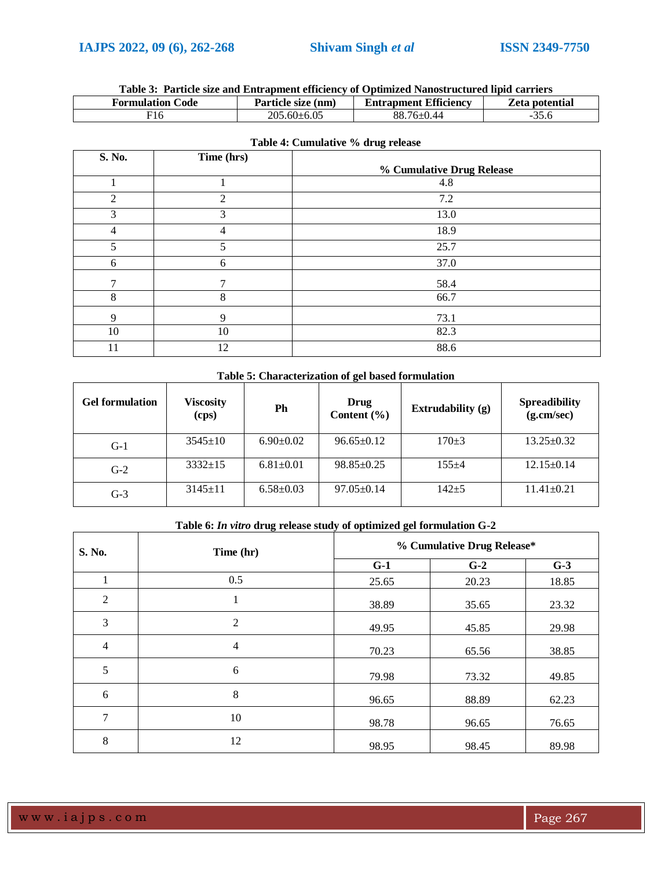# **Table 3: Particle size and Entrapment efficiency of Optimized Nanostructured lipid carriers**

| <b>Formulation Code</b> | Particle size (nm) | <b>Entrapment Efficiency</b> | <b>Zeta potential</b> |
|-------------------------|--------------------|------------------------------|-----------------------|
| ' 10                    | $205.60 \pm 6.05$  | 88.<br>ாபெ.                  |                       |

| S. No.      | Time (hrs) |                           |
|-------------|------------|---------------------------|
|             |            | % Cumulative Drug Release |
|             |            | 4.8                       |
| 2           | 2          | 7.2                       |
| 3           | 3          | 13.0                      |
| 4           | 4          | 18.9                      |
| 5           | 5          | 25.7                      |
| 6           | 6          | 37.0                      |
| 7           | 7          | 58.4                      |
| 8           | 8          | 66.7                      |
| $\mathbf Q$ | 9          | 73.1                      |
| 10          | 10         | 82.3                      |
| 11          | 12         | 88.6                      |

# **Table 4: Cumulative % drug release**

# **Table 5: Characterization of gel based formulation**

| <b>Gel formulation</b> | <b>Viscosity</b><br>(cps) | Ph              | Drug<br>Content $(\% )$ | Extrudability (g) | <b>Spreadibility</b><br>(g.cm/sec) |
|------------------------|---------------------------|-----------------|-------------------------|-------------------|------------------------------------|
| $G-1$                  | $3545 \pm 10$             | $6.90 \pm 0.02$ | $96.65 \pm 0.12$        | $170+3$           | $13.25 \pm 0.32$                   |
| $G-2$                  | $3332+15$                 | $6.81 \pm 0.01$ | $98.85 \pm 0.25$        | $155 + 4$         | $12.15 \pm 0.14$                   |
| $G-3$                  | $3145 \pm 11$             | $6.58 \pm 0.03$ | $97.05 \pm 0.14$        | 142+5             | $11.41 \pm 0.21$                   |

# **Table 6:** *In vitro* **drug release study of optimized gel formulation G-2**

| S. No.         | Time (hr)      |       | % Cumulative Drug Release* |       |  |
|----------------|----------------|-------|----------------------------|-------|--|
|                |                | $G-1$ | $G-2$                      | $G-3$ |  |
| 1              | 0.5            | 25.65 | 20.23                      | 18.85 |  |
| 2              |                | 38.89 | 35.65                      | 23.32 |  |
| 3              | $\overline{2}$ | 49.95 | 45.85                      | 29.98 |  |
| $\overline{4}$ | 4              | 70.23 | 65.56                      | 38.85 |  |
| 5              | 6              | 79.98 | 73.32                      | 49.85 |  |
| 6              | 8              | 96.65 | 88.89                      | 62.23 |  |
| 7              | 10             | 98.78 | 96.65                      | 76.65 |  |
| 8              | 12             | 98.95 | 98.45                      | 89.98 |  |